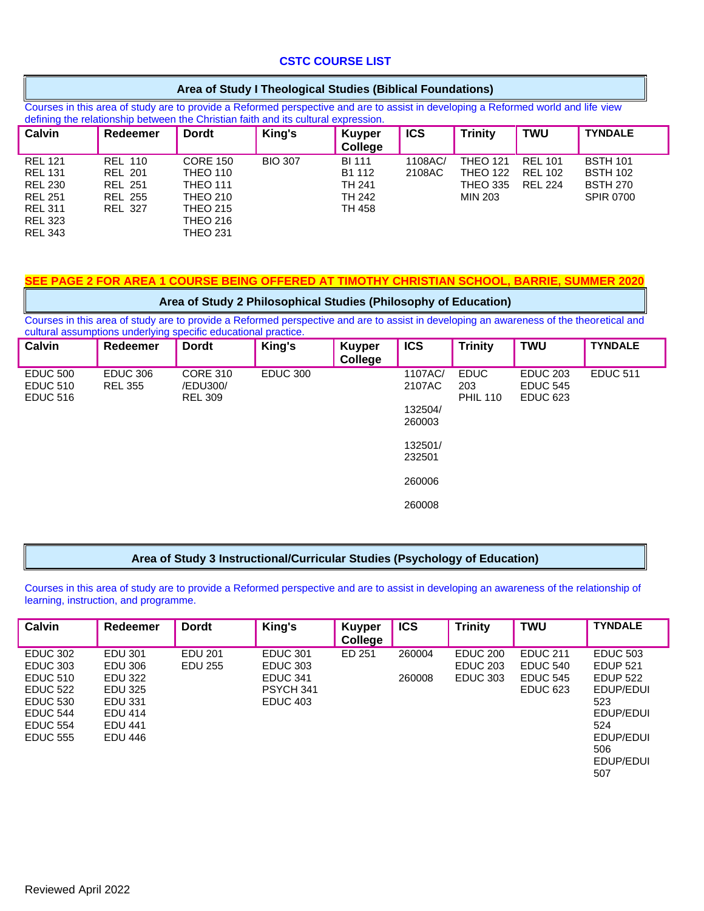# **CSTC COURSE LIST**

Courses in this area of study are to provide a Reformed perspective and are to assist in developing a Reformed world and life view defining the relationship between the Christian faith and its cultural expression.

| <b>Calvin</b>                                                                                                              | Redeemer                                                                               | <b>Dordt</b>                                                                                                                      | King's         | <b>Kuyper</b><br>College                              | <b>ICS</b>        | <b>Trinity</b>                                                   | <b>TWU</b>                                         | <b>TYNDALE</b>                                                            |
|----------------------------------------------------------------------------------------------------------------------------|----------------------------------------------------------------------------------------|-----------------------------------------------------------------------------------------------------------------------------------|----------------|-------------------------------------------------------|-------------------|------------------------------------------------------------------|----------------------------------------------------|---------------------------------------------------------------------------|
| <b>REL 121</b><br><b>REL 131</b><br><b>REL 230</b><br><b>REL 251</b><br><b>REL 311</b><br><b>REL 323</b><br><b>REL 343</b> | <b>REL 110</b><br><b>REL 201</b><br><b>REL 251</b><br><b>REL 255</b><br><b>REL 327</b> | <b>CORE 150</b><br><b>THEO 110</b><br><b>THEO 111</b><br><b>THEO 210</b><br><b>THEO 215</b><br><b>THEO 216</b><br><b>THEO 231</b> | <b>BIO 307</b> | <b>BI 111</b><br>B1 112<br>TH 241<br>TH 242<br>TH 458 | 1108AC/<br>2108AC | <b>THEO 121</b><br><b>THEO 122</b><br><b>THEO 335</b><br>MIN 203 | <b>REL 101</b><br><b>REL 102</b><br><b>REL 224</b> | <b>BSTH 101</b><br><b>BSTH 102</b><br><b>BSTH 270</b><br><b>SPIR 0700</b> |

# **SEE PAGE 2 FOR AREA 1 COURSE BEING OFFERED AT TIMOTHY CHRISTIAN SCHOOL, BARRIE, SUMMER 2020**

### **Area of Study 2 Philosophical Studies (Philosophy of Education)**

Courses in this area of study are to provide a Reformed perspective and are to assist in developing an awareness of the theoretical and cultural assumptions underlying specific educational practice.

| Calvin                                                | Redeemer                          | <b>Dordt</b>                                  | King's          | <b>Kuyper</b><br>College | <b>ICS</b>                                        | <b>Trinity</b>                        | <b>TWU</b>                                            | <b>TYNDALE</b>  |
|-------------------------------------------------------|-----------------------------------|-----------------------------------------------|-----------------|--------------------------|---------------------------------------------------|---------------------------------------|-------------------------------------------------------|-----------------|
| <b>EDUC 500</b><br><b>EDUC 510</b><br><b>EDUC 516</b> | <b>EDUC 306</b><br><b>REL 355</b> | <b>CORE 310</b><br>/EDU300/<br><b>REL 309</b> | <b>EDUC 300</b> |                          | 1107AC/<br>2107AC<br>132504/<br>260003<br>132501/ | <b>EDUC</b><br>203<br><b>PHIL 110</b> | <b>EDUC 203</b><br><b>EDUC 545</b><br><b>EDUC 623</b> | <b>EDUC 511</b> |
|                                                       |                                   |                                               |                 |                          | 232501<br>260006                                  |                                       |                                                       |                 |
|                                                       |                                   |                                               |                 |                          | 260008                                            |                                       |                                                       |                 |

#### **Area of Study 3 Instructional/Curricular Studies (Psychology of Education)**

Courses in this area of study are to provide a Reformed perspective and are to assist in developing an awareness of the relationship of learning, instruction, and programme.

| <b>Calvin</b>   | Redeemer       | <b>Dordt</b> | King's          | <b>Kuyper</b><br>College | <b>ICS</b> | <b>Trinity</b>  | <b>TWU</b>      | <b>TYNDALE</b>  |
|-----------------|----------------|--------------|-----------------|--------------------------|------------|-----------------|-----------------|-----------------|
| <b>EDUC 302</b> | EDU 301        | EDU 201      | <b>EDUC 301</b> | ED 251                   | 260004     | <b>EDUC 200</b> | <b>EDUC 211</b> | <b>EDUC 503</b> |
| <b>EDUC 303</b> | EDU 306        | EDU 255      | <b>EDUC 303</b> |                          |            | <b>EDUC 203</b> | <b>EDUC 540</b> | <b>EDUP 521</b> |
| <b>EDUC 510</b> | EDU 322        |              | <b>EDUC 341</b> |                          | 260008     | <b>EDUC 303</b> | <b>EDUC 545</b> | <b>EDUP 522</b> |
| <b>EDUC 522</b> | EDU 325        |              | PSYCH 341       |                          |            |                 | <b>EDUC 623</b> | EDUP/EDUI       |
| <b>EDUC 530</b> | EDU 331        |              | <b>EDUC 403</b> |                          |            |                 |                 | 523             |
| <b>EDUC 544</b> | <b>EDU 414</b> |              |                 |                          |            |                 |                 | EDUP/EDUI       |
| <b>EDUC 554</b> | <b>EDU 441</b> |              |                 |                          |            |                 |                 | 524             |
| <b>EDUC 555</b> | EDU 446        |              |                 |                          |            |                 |                 | EDUP/EDUI       |
|                 |                |              |                 |                          |            |                 |                 | 506             |
|                 |                |              |                 |                          |            |                 |                 | EDUP/EDUI       |
|                 |                |              |                 |                          |            |                 |                 | 507             |